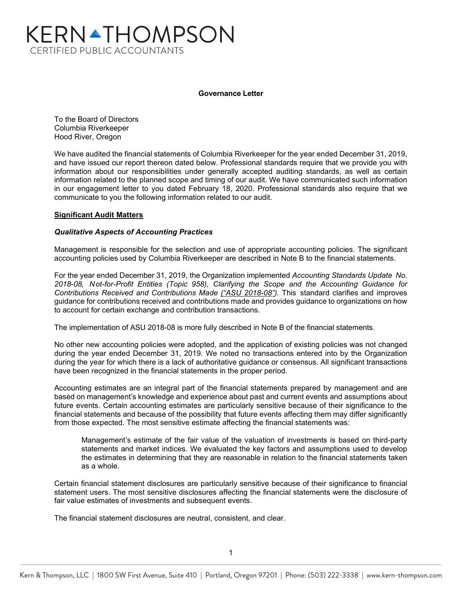# KERNATHOMPSON **CERTIFIED PUBLIC ACCOUNTANTS**

#### **Governance Letter**

To the Board of Directors Columbia Riverkeeper Hood River, Oregon

We have audited the financial statements of Columbia Riverkeeper for the year ended December 31, 2019, and have issued our report thereon dated below. Professional standards require that we provide you with information about our responsibilities under generally accepted auditing standards, as well as certain information related to the planned scope and timing of our audit. We have communicated such information in our engagement letter to you dated February 18, 2020. Professional standards also require that we communicate to you the following information related to our audit.

## **Significant Audit Matters**

## *Qualitative Aspects of Accounting Practices*

Management is responsible for the selection and use of appropriate accounting policies. The significant accounting policies used by Columbia Riverkeeper are described in Note B to the financial statements.

For the year ended December 31, 2019, the Organization implemented *Accounting Standards Update No. 2018-08, Not-for-Profit Entities (Topic 958), Clarifying the Scope and the Accounting Guidance for Contributions Received and Contributions Made ("ASU 2018-08").* This standard clarifies and improves guidance for contributions received and contributions made and provides guidance to organizations on how to account for certain exchange and contribution transactions.

The implementation of ASU 2018-08 is more fully described in Note B of the financial statements.

No other new accounting policies were adopted, and the application of existing policies was not changed during the year ended December 31, 2019. We noted no transactions entered into by the Organization during the year for which there is a lack of authoritative guidance or consensus. All significant transactions have been recognized in the financial statements in the proper period.

Accounting estimates are an integral part of the financial statements prepared by management and are based on management's knowledge and experience about past and current events and assumptions about future events. Certain accounting estimates are particularly sensitive because of their significance to the financial statements and because of the possibility that future events affecting them may differ significantly from those expected. The most sensitive estimate affecting the financial statements was:

Management's estimate of the fair value of the valuation of investments is based on third-party statements and market indices. We evaluated the key factors and assumptions used to develop the estimates in determining that they are reasonable in relation to the financial statements taken as a whole.

Certain financial statement disclosures are particularly sensitive because of their significance to financial statement users. The most sensitive disclosures affecting the financial statements were the disclosure of fair value estimates of investments and subsequent events.

The financial statement disclosures are neutral, consistent, and clear.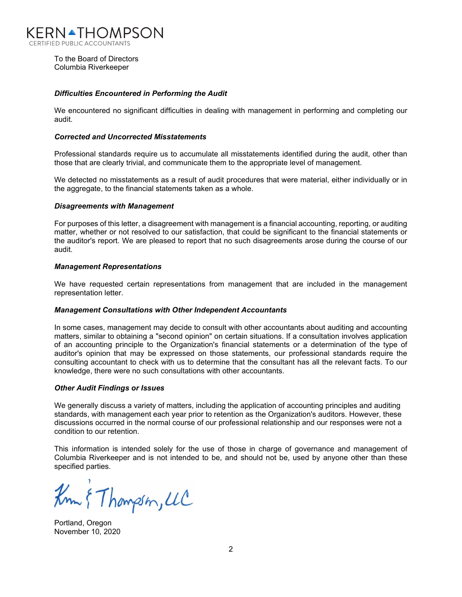

To the Board of Directors Columbia Riverkeeper

#### *Difficulties Encountered in Performing the Audit*

We encountered no significant difficulties in dealing with management in performing and completing our audit.

#### *Corrected and Uncorrected Misstatements*

Professional standards require us to accumulate all misstatements identified during the audit, other than those that are clearly trivial, and communicate them to the appropriate level of management.

We detected no misstatements as a result of audit procedures that were material, either individually or in the aggregate, to the financial statements taken as a whole.

#### *Disagreements with Management*

For purposes of this letter, a disagreement with management is a financial accounting, reporting, or auditing matter, whether or not resolved to our satisfaction, that could be significant to the financial statements or the auditor's report. We are pleased to report that no such disagreements arose during the course of our audit.

#### *Management Representations*

We have requested certain representations from management that are included in the management representation letter.

#### *Management Consultations with Other Independent Accountants*

In some cases, management may decide to consult with other accountants about auditing and accounting matters, similar to obtaining a "second opinion" on certain situations. If a consultation involves application of an accounting principle to the Organization's financial statements or a determination of the type of auditor's opinion that may be expressed on those statements, our professional standards require the consulting accountant to check with us to determine that the consultant has all the relevant facts. To our knowledge, there were no such consultations with other accountants.

#### *Other Audit Findings or Issues*

We generally discuss a variety of matters, including the application of accounting principles and auditing standards, with management each year prior to retention as the Organization's auditors. However, these discussions occurred in the normal course of our professional relationship and our responses were not a condition to our retention.

This information is intended solely for the use of those in charge of governance and management of Columbia Riverkeeper and is not intended to be, and should not be, used by anyone other than these specified parties.

Km & Thompson, UC

Portland, Oregon November 10, 2020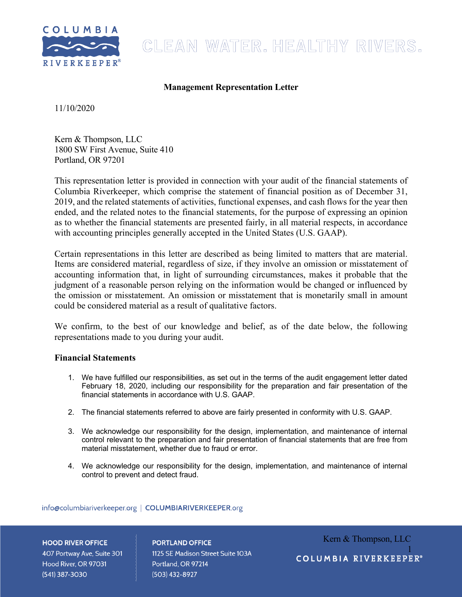

# CLEAN WATER. HEALTHY RIVERS.

# **Management Representation Letter**

11/10/2020

Kern & Thompson, LLC 1800 SW First Avenue, Suite 410 Portland, OR 97201

This representation letter is provided in connection with your audit of the financial statements of Columbia Riverkeeper, which comprise the statement of financial position as of December 31, 2019, and the related statements of activities, functional expenses, and cash flows for the year then ended, and the related notes to the financial statements, for the purpose of expressing an opinion as to whether the financial statements are presented fairly, in all material respects, in accordance with accounting principles generally accepted in the United States (U.S. GAAP).

Certain representations in this letter are described as being limited to matters that are material. Items are considered material, regardless of size, if they involve an omission or misstatement of accounting information that, in light of surrounding circumstances, makes it probable that the judgment of a reasonable person relying on the information would be changed or influenced by the omission or misstatement. An omission or misstatement that is monetarily small in amount could be considered material as a result of qualitative factors.

We confirm, to the best of our knowledge and belief, as of the date below, the following representations made to you during your audit.

# **Financial Statements**

- 1. We have fulfilled our responsibilities, as set out in the terms of the audit engagement letter dated February 18, 2020, including our responsibility for the preparation and fair presentation of the financial statements in accordance with U.S. GAAP.
- 2. The financial statements referred to above are fairly presented in conformity with U.S. GAAP.
- 3. We acknowledge our responsibility for the design, implementation, and maintenance of internal control relevant to the preparation and fair presentation of financial statements that are free from material misstatement, whether due to fraud or error.
- 4. We acknowledge our responsibility for the design, implementation, and maintenance of internal control to prevent and detect fraud.

info@columbiariverkeeper.org | COLUMBIARIVERKEEPER.org

## **HOOD RIVER OFFICE**

407 Portway Ave, Suite 301 Hood River, OR 97031 (541) 387-3030

**PORTLAND OFFICE** 1125 SE Madison Street Suite 103A Portland, OR 97214  $(503)$  432-8927

Kern & Thompson, LLC 1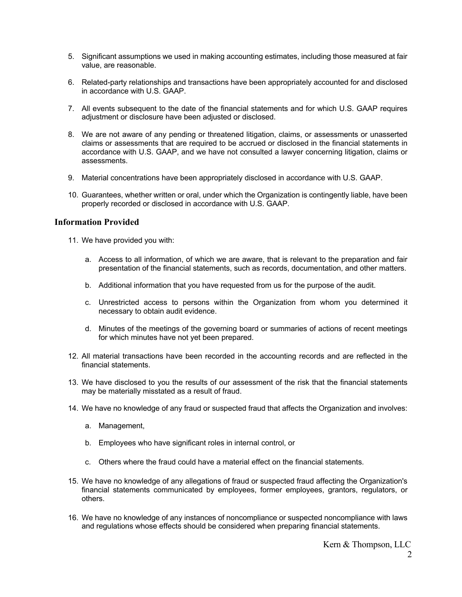- 5. Significant assumptions we used in making accounting estimates, including those measured at fair value, are reasonable.
- 6. Related-party relationships and transactions have been appropriately accounted for and disclosed in accordance with U.S. GAAP.
- 7. All events subsequent to the date of the financial statements and for which U.S. GAAP requires adjustment or disclosure have been adjusted or disclosed.
- 8. We are not aware of any pending or threatened litigation, claims, or assessments or unasserted claims or assessments that are required to be accrued or disclosed in the financial statements in accordance with U.S. GAAP, and we have not consulted a lawyer concerning litigation, claims or assessments.
- 9. Material concentrations have been appropriately disclosed in accordance with U.S. GAAP.
- 10. Guarantees, whether written or oral, under which the Organization is contingently liable, have been properly recorded or disclosed in accordance with U.S. GAAP.

# **Information Provided**

- 11. We have provided you with:
	- a. Access to all information, of which we are aware, that is relevant to the preparation and fair presentation of the financial statements, such as records, documentation, and other matters.
	- b. Additional information that you have requested from us for the purpose of the audit.
	- c. Unrestricted access to persons within the Organization from whom you determined it necessary to obtain audit evidence.
	- d. Minutes of the meetings of the governing board or summaries of actions of recent meetings for which minutes have not yet been prepared.
- 12. All material transactions have been recorded in the accounting records and are reflected in the financial statements.
- 13. We have disclosed to you the results of our assessment of the risk that the financial statements may be materially misstated as a result of fraud.
- 14. We have no knowledge of any fraud or suspected fraud that affects the Organization and involves:
	- a. Management,
	- b. Employees who have significant roles in internal control, or
	- c. Others where the fraud could have a material effect on the financial statements.
- 15. We have no knowledge of any allegations of fraud or suspected fraud affecting the Organization's financial statements communicated by employees, former employees, grantors, regulators, or others.
- 16. We have no knowledge of any instances of noncompliance or suspected noncompliance with laws and regulations whose effects should be considered when preparing financial statements.